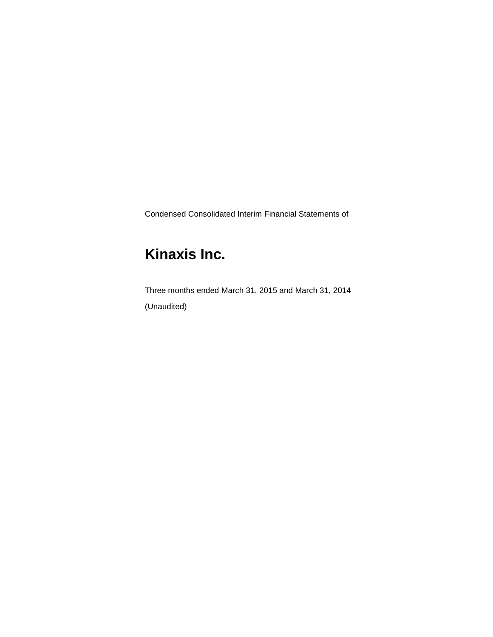Condensed Consolidated Interim Financial Statements of

# **Kinaxis Inc.**

Three months ended March 31, 2015 and March 31, 2014 (Unaudited)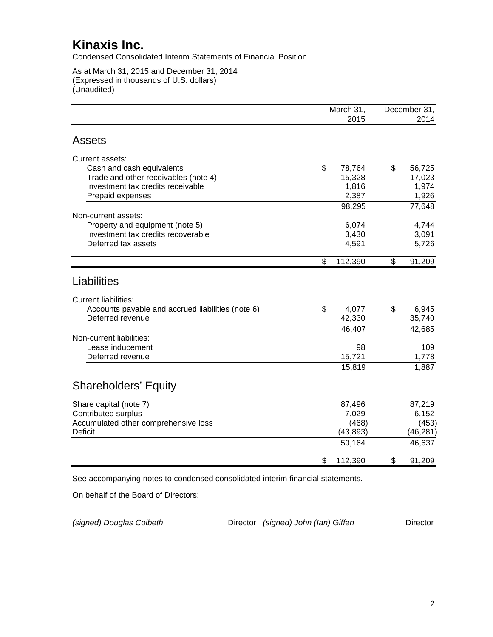Condensed Consolidated Interim Statements of Financial Position

As at March 31, 2015 and December 31, 2014 (Expressed in thousands of U.S. dollars) (Unaudited)

| March 31,<br>2015 |                                                                                                                                | December 31,<br>2014                                                                 |
|-------------------|--------------------------------------------------------------------------------------------------------------------------------|--------------------------------------------------------------------------------------|
|                   |                                                                                                                                |                                                                                      |
|                   |                                                                                                                                |                                                                                      |
|                   |                                                                                                                                |                                                                                      |
| \$<br>78,764      | \$                                                                                                                             | 56,725                                                                               |
|                   |                                                                                                                                | 17,023                                                                               |
|                   |                                                                                                                                | 1,974                                                                                |
|                   |                                                                                                                                | 1,926                                                                                |
| 98,295            |                                                                                                                                | 77,648                                                                               |
|                   |                                                                                                                                |                                                                                      |
|                   |                                                                                                                                | 4,744                                                                                |
|                   |                                                                                                                                | 3,091                                                                                |
|                   |                                                                                                                                | 5,726                                                                                |
|                   |                                                                                                                                | 91,209                                                                               |
|                   |                                                                                                                                |                                                                                      |
|                   |                                                                                                                                |                                                                                      |
|                   |                                                                                                                                |                                                                                      |
| \$                | \$                                                                                                                             | 6,945                                                                                |
|                   |                                                                                                                                | 35,740                                                                               |
|                   |                                                                                                                                | 42,685                                                                               |
|                   |                                                                                                                                |                                                                                      |
|                   |                                                                                                                                | 109                                                                                  |
|                   |                                                                                                                                | 1,778                                                                                |
| 15,819            |                                                                                                                                | 1,887                                                                                |
|                   |                                                                                                                                |                                                                                      |
|                   |                                                                                                                                |                                                                                      |
|                   |                                                                                                                                | 87,219                                                                               |
| 7,029             |                                                                                                                                | 6,152                                                                                |
|                   |                                                                                                                                | (453)                                                                                |
| (43, 893)         |                                                                                                                                | (46, 281)                                                                            |
| 50,164            |                                                                                                                                | 46,637                                                                               |
| \$<br>112,390     | \$                                                                                                                             | 91,209                                                                               |
| \$                | 15,328<br>1,816<br>2,387<br>6,074<br>3,430<br>4,591<br>112,390<br>4,077<br>42,330<br>46,407<br>98<br>15,721<br>87,496<br>(468) | \$<br>See accompanying notes to condensed consolidated interim financial statements. |

On behalf of the Board of Directors:

| (signed) Douglas Colbeth |  | Director (signed) John (Ian) Giffen | Director |
|--------------------------|--|-------------------------------------|----------|
|--------------------------|--|-------------------------------------|----------|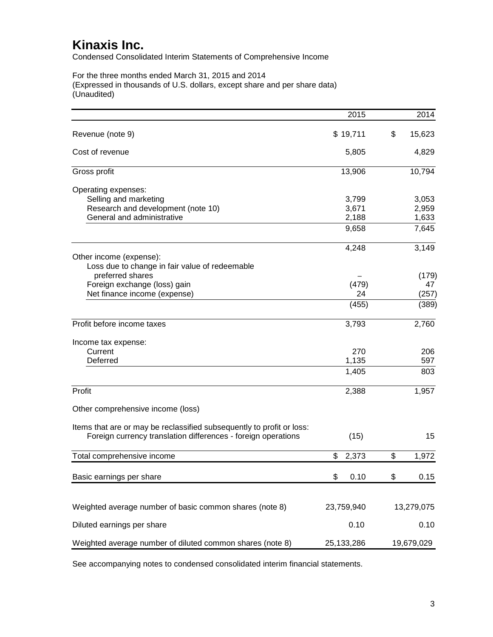Condensed Consolidated Interim Statements of Comprehensive Income

For the three months ended March 31, 2015 and 2014 (Expressed in thousands of U.S. dollars, except share and per share data) (Unaudited)

| \$19,711<br>\$<br>15,623<br>Revenue (note 9)<br>Cost of revenue<br>5,805<br>4,829<br>10,794<br>Gross profit<br>13,906<br>Operating expenses:<br>Selling and marketing<br>3,053<br>3,799<br>Research and development (note 10)<br>2,959<br>3,671<br>1,633<br>General and administrative<br>2,188<br>7,645<br>9,658<br>3,149<br>4,248<br>Other income (expense):<br>Loss due to change in fair value of redeemable<br>preferred shares<br>(179)<br>Foreign exchange (loss) gain<br>(479)<br>47<br>Net finance income (expense)<br>24<br>(257)<br>(455)<br>(389)<br>Profit before income taxes<br>3,793<br>2,760<br>Income tax expense:<br>Current<br>270<br>206<br>Deferred<br>1,135<br>597<br>1,405<br>803<br>Profit<br>1,957<br>2,388<br>Other comprehensive income (loss)<br>Items that are or may be reclassified subsequently to profit or loss:<br>Foreign currency translation differences - foreign operations<br>15<br>(15)<br>2,373<br>\$<br>\$<br>1,972<br>Total comprehensive income<br>\$<br>0.10<br>\$<br>0.15<br>Basic earnings per share<br>23,759,940<br>Weighted average number of basic common shares (note 8)<br>13,279,075<br>Diluted earnings per share<br>0.10<br>0.10<br>19,679,029 |                                                           | 2015       | 2014 |
|-----------------------------------------------------------------------------------------------------------------------------------------------------------------------------------------------------------------------------------------------------------------------------------------------------------------------------------------------------------------------------------------------------------------------------------------------------------------------------------------------------------------------------------------------------------------------------------------------------------------------------------------------------------------------------------------------------------------------------------------------------------------------------------------------------------------------------------------------------------------------------------------------------------------------------------------------------------------------------------------------------------------------------------------------------------------------------------------------------------------------------------------------------------------------------------------------------------|-----------------------------------------------------------|------------|------|
|                                                                                                                                                                                                                                                                                                                                                                                                                                                                                                                                                                                                                                                                                                                                                                                                                                                                                                                                                                                                                                                                                                                                                                                                           |                                                           |            |      |
|                                                                                                                                                                                                                                                                                                                                                                                                                                                                                                                                                                                                                                                                                                                                                                                                                                                                                                                                                                                                                                                                                                                                                                                                           |                                                           |            |      |
|                                                                                                                                                                                                                                                                                                                                                                                                                                                                                                                                                                                                                                                                                                                                                                                                                                                                                                                                                                                                                                                                                                                                                                                                           |                                                           |            |      |
|                                                                                                                                                                                                                                                                                                                                                                                                                                                                                                                                                                                                                                                                                                                                                                                                                                                                                                                                                                                                                                                                                                                                                                                                           |                                                           |            |      |
|                                                                                                                                                                                                                                                                                                                                                                                                                                                                                                                                                                                                                                                                                                                                                                                                                                                                                                                                                                                                                                                                                                                                                                                                           |                                                           |            |      |
|                                                                                                                                                                                                                                                                                                                                                                                                                                                                                                                                                                                                                                                                                                                                                                                                                                                                                                                                                                                                                                                                                                                                                                                                           |                                                           |            |      |
|                                                                                                                                                                                                                                                                                                                                                                                                                                                                                                                                                                                                                                                                                                                                                                                                                                                                                                                                                                                                                                                                                                                                                                                                           |                                                           |            |      |
|                                                                                                                                                                                                                                                                                                                                                                                                                                                                                                                                                                                                                                                                                                                                                                                                                                                                                                                                                                                                                                                                                                                                                                                                           |                                                           |            |      |
|                                                                                                                                                                                                                                                                                                                                                                                                                                                                                                                                                                                                                                                                                                                                                                                                                                                                                                                                                                                                                                                                                                                                                                                                           |                                                           |            |      |
|                                                                                                                                                                                                                                                                                                                                                                                                                                                                                                                                                                                                                                                                                                                                                                                                                                                                                                                                                                                                                                                                                                                                                                                                           |                                                           |            |      |
|                                                                                                                                                                                                                                                                                                                                                                                                                                                                                                                                                                                                                                                                                                                                                                                                                                                                                                                                                                                                                                                                                                                                                                                                           |                                                           |            |      |
|                                                                                                                                                                                                                                                                                                                                                                                                                                                                                                                                                                                                                                                                                                                                                                                                                                                                                                                                                                                                                                                                                                                                                                                                           |                                                           |            |      |
|                                                                                                                                                                                                                                                                                                                                                                                                                                                                                                                                                                                                                                                                                                                                                                                                                                                                                                                                                                                                                                                                                                                                                                                                           |                                                           |            |      |
|                                                                                                                                                                                                                                                                                                                                                                                                                                                                                                                                                                                                                                                                                                                                                                                                                                                                                                                                                                                                                                                                                                                                                                                                           |                                                           |            |      |
|                                                                                                                                                                                                                                                                                                                                                                                                                                                                                                                                                                                                                                                                                                                                                                                                                                                                                                                                                                                                                                                                                                                                                                                                           |                                                           |            |      |
|                                                                                                                                                                                                                                                                                                                                                                                                                                                                                                                                                                                                                                                                                                                                                                                                                                                                                                                                                                                                                                                                                                                                                                                                           |                                                           |            |      |
|                                                                                                                                                                                                                                                                                                                                                                                                                                                                                                                                                                                                                                                                                                                                                                                                                                                                                                                                                                                                                                                                                                                                                                                                           |                                                           |            |      |
|                                                                                                                                                                                                                                                                                                                                                                                                                                                                                                                                                                                                                                                                                                                                                                                                                                                                                                                                                                                                                                                                                                                                                                                                           |                                                           |            |      |
|                                                                                                                                                                                                                                                                                                                                                                                                                                                                                                                                                                                                                                                                                                                                                                                                                                                                                                                                                                                                                                                                                                                                                                                                           |                                                           |            |      |
|                                                                                                                                                                                                                                                                                                                                                                                                                                                                                                                                                                                                                                                                                                                                                                                                                                                                                                                                                                                                                                                                                                                                                                                                           |                                                           |            |      |
|                                                                                                                                                                                                                                                                                                                                                                                                                                                                                                                                                                                                                                                                                                                                                                                                                                                                                                                                                                                                                                                                                                                                                                                                           |                                                           |            |      |
|                                                                                                                                                                                                                                                                                                                                                                                                                                                                                                                                                                                                                                                                                                                                                                                                                                                                                                                                                                                                                                                                                                                                                                                                           |                                                           |            |      |
|                                                                                                                                                                                                                                                                                                                                                                                                                                                                                                                                                                                                                                                                                                                                                                                                                                                                                                                                                                                                                                                                                                                                                                                                           |                                                           |            |      |
|                                                                                                                                                                                                                                                                                                                                                                                                                                                                                                                                                                                                                                                                                                                                                                                                                                                                                                                                                                                                                                                                                                                                                                                                           |                                                           |            |      |
|                                                                                                                                                                                                                                                                                                                                                                                                                                                                                                                                                                                                                                                                                                                                                                                                                                                                                                                                                                                                                                                                                                                                                                                                           |                                                           |            |      |
|                                                                                                                                                                                                                                                                                                                                                                                                                                                                                                                                                                                                                                                                                                                                                                                                                                                                                                                                                                                                                                                                                                                                                                                                           |                                                           |            |      |
|                                                                                                                                                                                                                                                                                                                                                                                                                                                                                                                                                                                                                                                                                                                                                                                                                                                                                                                                                                                                                                                                                                                                                                                                           |                                                           |            |      |
|                                                                                                                                                                                                                                                                                                                                                                                                                                                                                                                                                                                                                                                                                                                                                                                                                                                                                                                                                                                                                                                                                                                                                                                                           |                                                           |            |      |
|                                                                                                                                                                                                                                                                                                                                                                                                                                                                                                                                                                                                                                                                                                                                                                                                                                                                                                                                                                                                                                                                                                                                                                                                           |                                                           |            |      |
|                                                                                                                                                                                                                                                                                                                                                                                                                                                                                                                                                                                                                                                                                                                                                                                                                                                                                                                                                                                                                                                                                                                                                                                                           |                                                           |            |      |
|                                                                                                                                                                                                                                                                                                                                                                                                                                                                                                                                                                                                                                                                                                                                                                                                                                                                                                                                                                                                                                                                                                                                                                                                           | Weighted average number of diluted common shares (note 8) | 25,133,286 |      |

See accompanying notes to condensed consolidated interim financial statements.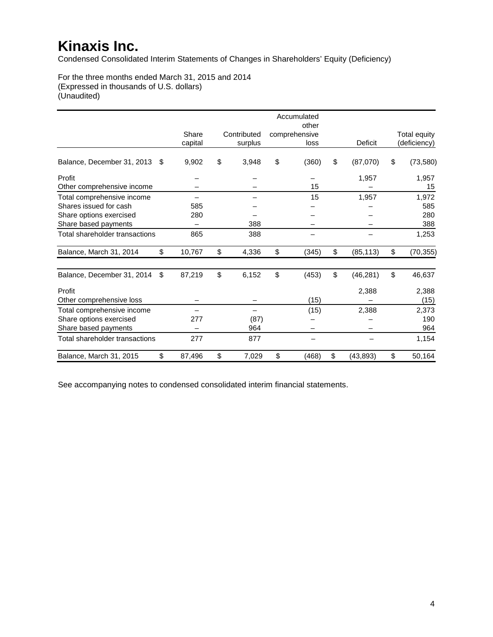Condensed Consolidated Interim Statements of Changes in Shareholders' Equity (Deficiency)

For the three months ended March 31, 2015 and 2014 (Expressed in thousands of U.S. dollars) (Unaudited)

|                                |     |         |             | Accumulated<br>other |                 |                 |
|--------------------------------|-----|---------|-------------|----------------------|-----------------|-----------------|
|                                |     | Share   | Contributed | comprehensive        |                 | Total equity    |
|                                |     | capital | surplus     | loss                 | Deficit         | (deficiency)    |
| Balance, December 31, 2013     | \$  | 9,902   | \$<br>3,948 | \$<br>(360)          | \$<br>(87,070)  | \$<br>(73, 580) |
| Profit                         |     |         |             |                      | 1,957           | 1,957           |
| Other comprehensive income     |     |         |             | 15                   |                 | 15              |
| Total comprehensive income     |     |         |             | 15                   | 1,957           | 1,972           |
| Shares issued for cash         |     | 585     |             |                      |                 | 585             |
| Share options exercised        |     | 280     |             |                      |                 | 280             |
| Share based payments           |     |         | 388         |                      |                 | 388             |
| Total shareholder transactions |     | 865     | 388         |                      |                 | 1,253           |
| Balance, March 31, 2014        | \$  | 10,767  | \$<br>4,336 | \$<br>(345)          | \$<br>(85, 113) | \$<br>(70, 355) |
| Balance, December 31, 2014     | \$. | 87,219  | \$<br>6,152 | \$<br>(453)          | \$<br>(46, 281) | \$<br>46,637    |
| Profit                         |     |         |             |                      | 2,388           | 2,388           |
| Other comprehensive loss       |     |         |             | (15)                 |                 | (15)            |
| Total comprehensive income     |     |         |             | (15)                 | 2,388           | 2,373           |
| Share options exercised        |     | 277     | (87)        |                      |                 | 190             |
| Share based payments           |     |         | 964         |                      |                 | 964             |
| Total shareholder transactions |     | 277     | 877         |                      |                 | 1,154           |
| Balance, March 31, 2015        | \$  | 87,496  | \$<br>7,029 | \$<br>(468)          | \$<br>(43, 893) | \$<br>50,164    |

See accompanying notes to condensed consolidated interim financial statements.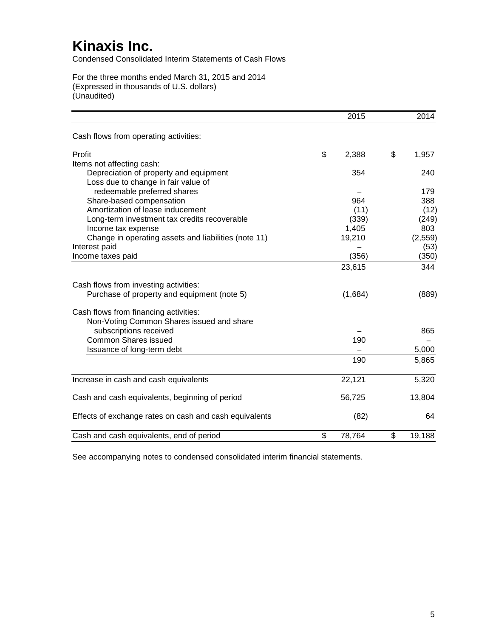Condensed Consolidated Interim Statements of Cash Flows

For the three months ended March 31, 2015 and 2014 (Expressed in thousands of U.S. dollars) (Unaudited)

|                                                        | 2015         |                         | 2014     |
|--------------------------------------------------------|--------------|-------------------------|----------|
| Cash flows from operating activities:                  |              |                         |          |
| Profit                                                 | \$<br>2,388  | \$                      | 1,957    |
| Items not affecting cash:                              |              |                         |          |
| Depreciation of property and equipment                 | 354          |                         | 240      |
| Loss due to change in fair value of                    |              |                         |          |
| redeemable preferred shares                            |              |                         | 179      |
| Share-based compensation                               | 964          |                         | 388      |
| Amortization of lease inducement                       | (11)         |                         | (12)     |
| Long-term investment tax credits recoverable           | (339)        |                         | (249)    |
| Income tax expense                                     | 1,405        |                         | 803      |
| Change in operating assets and liabilities (note 11)   | 19,210       |                         | (2, 559) |
| Interest paid                                          |              |                         | (53)     |
| Income taxes paid                                      | (356)        |                         | (350)    |
|                                                        | 23,615       |                         | 344      |
| Cash flows from investing activities:                  |              |                         |          |
| Purchase of property and equipment (note 5)            | (1,684)      |                         | (889)    |
| Cash flows from financing activities:                  |              |                         |          |
| Non-Voting Common Shares issued and share              |              |                         |          |
| subscriptions received                                 |              |                         | 865      |
| <b>Common Shares issued</b>                            | 190          |                         |          |
| Issuance of long-term debt                             |              |                         | 5,000    |
|                                                        | 190          |                         | 5,865    |
| Increase in cash and cash equivalents                  | 22,121       |                         | 5,320    |
| Cash and cash equivalents, beginning of period         | 56,725       |                         | 13,804   |
|                                                        |              |                         |          |
| Effects of exchange rates on cash and cash equivalents | (82)         |                         | 64       |
| Cash and cash equivalents, end of period               | \$<br>78,764 | $\overline{\mathbf{S}}$ | 19,188   |

See accompanying notes to condensed consolidated interim financial statements.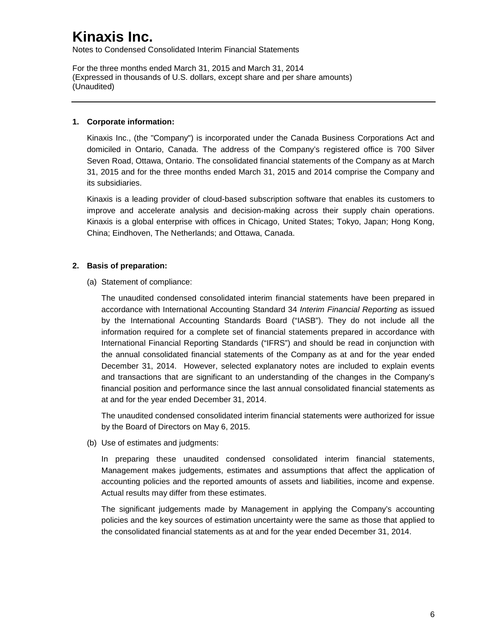Notes to Condensed Consolidated Interim Financial Statements

For the three months ended March 31, 2015 and March 31, 2014 (Expressed in thousands of U.S. dollars, except share and per share amounts) (Unaudited)

#### **1. Corporate information:**

Kinaxis Inc., (the "Company") is incorporated under the Canada Business Corporations Act and domiciled in Ontario, Canada. The address of the Company's registered office is 700 Silver Seven Road, Ottawa, Ontario. The consolidated financial statements of the Company as at March 31, 2015 and for the three months ended March 31, 2015 and 2014 comprise the Company and its subsidiaries.

Kinaxis is a leading provider of cloud-based subscription software that enables its customers to improve and accelerate analysis and decision-making across their supply chain operations. Kinaxis is a global enterprise with offices in Chicago, United States; Tokyo, Japan; Hong Kong, China; Eindhoven, The Netherlands; and Ottawa, Canada.

### **2. Basis of preparation:**

(a) Statement of compliance:

The unaudited condensed consolidated interim financial statements have been prepared in accordance with International Accounting Standard 34 *Interim Financial Reporting* as issued by the International Accounting Standards Board ("IASB"). They do not include all the information required for a complete set of financial statements prepared in accordance with International Financial Reporting Standards ("IFRS") and should be read in conjunction with the annual consolidated financial statements of the Company as at and for the year ended December 31, 2014. However, selected explanatory notes are included to explain events and transactions that are significant to an understanding of the changes in the Company's financial position and performance since the last annual consolidated financial statements as at and for the year ended December 31, 2014.

The unaudited condensed consolidated interim financial statements were authorized for issue by the Board of Directors on May 6, 2015.

(b) Use of estimates and judgments:

In preparing these unaudited condensed consolidated interim financial statements, Management makes judgements, estimates and assumptions that affect the application of accounting policies and the reported amounts of assets and liabilities, income and expense. Actual results may differ from these estimates.

The significant judgements made by Management in applying the Company's accounting policies and the key sources of estimation uncertainty were the same as those that applied to the consolidated financial statements as at and for the year ended December 31, 2014.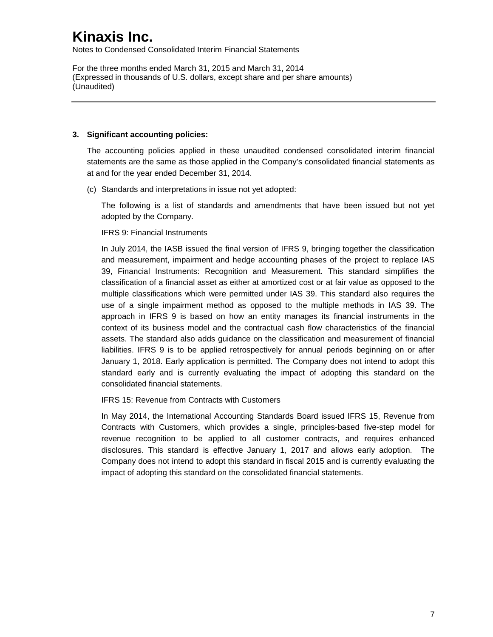Notes to Condensed Consolidated Interim Financial Statements

For the three months ended March 31, 2015 and March 31, 2014 (Expressed in thousands of U.S. dollars, except share and per share amounts) (Unaudited)

#### **3. Significant accounting policies:**

The accounting policies applied in these unaudited condensed consolidated interim financial statements are the same as those applied in the Company's consolidated financial statements as at and for the year ended December 31, 2014.

(c) Standards and interpretations in issue not yet adopted:

The following is a list of standards and amendments that have been issued but not yet adopted by the Company.

IFRS 9: Financial Instruments

In July 2014, the IASB issued the final version of IFRS 9, bringing together the classification and measurement, impairment and hedge accounting phases of the project to replace IAS 39, Financial Instruments: Recognition and Measurement. This standard simplifies the classification of a financial asset as either at amortized cost or at fair value as opposed to the multiple classifications which were permitted under IAS 39. This standard also requires the use of a single impairment method as opposed to the multiple methods in IAS 39. The approach in IFRS 9 is based on how an entity manages its financial instruments in the context of its business model and the contractual cash flow characteristics of the financial assets. The standard also adds guidance on the classification and measurement of financial liabilities. IFRS 9 is to be applied retrospectively for annual periods beginning on or after January 1, 2018. Early application is permitted. The Company does not intend to adopt this standard early and is currently evaluating the impact of adopting this standard on the consolidated financial statements.

IFRS 15: Revenue from Contracts with Customers

In May 2014, the International Accounting Standards Board issued IFRS 15, Revenue from Contracts with Customers, which provides a single, principles-based five-step model for revenue recognition to be applied to all customer contracts, and requires enhanced disclosures. This standard is effective January 1, 2017 and allows early adoption. The Company does not intend to adopt this standard in fiscal 2015 and is currently evaluating the impact of adopting this standard on the consolidated financial statements.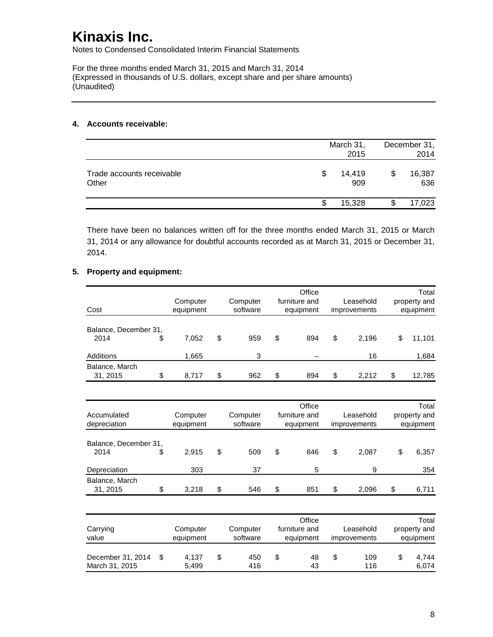Notes to Condensed Consolidated Interim Financial Statements

For the three months ended March 31, 2015 and March 31, 2014 (Expressed in thousands of U.S. dollars, except share and per share amounts) (Unaudited)

#### **4. Accounts receivable:**

|                                    |     | March 31,<br>2015 |   | December 31,<br>2014 |
|------------------------------------|-----|-------------------|---|----------------------|
| Trade accounts receivable<br>Other | \$. | 14,419<br>909     |   | 16,387<br>636        |
|                                    | S   | 15,328            | S | 17,023               |

There have been no balances written off for the three months ended March 31, 2015 or March 31, 2014 or any allowance for doubtful accounts recorded as at March 31, 2015 or December 31, 2014.

### **5. Property and equipment:**

|                       |             |           | Office        |              |           | Total        |
|-----------------------|-------------|-----------|---------------|--------------|-----------|--------------|
|                       | Computer    | Computer  | furniture and | Leasehold    |           | property and |
| Cost                  | equipment   | software  | equipment     | improvements |           | equipment    |
|                       |             |           |               |              |           |              |
| Balance, December 31, |             |           |               |              |           |              |
| 2014                  | \$<br>7,052 | \$<br>959 | \$<br>894     | \$<br>2,196  | \$        | 11,101       |
| Additions             | 1,665       | 3         |               | 16           |           | 1,684        |
| Balance, March        |             |           |               |              |           |              |
| 31, 2015              | \$<br>8,717 | \$<br>962 | \$<br>894     | \$<br>2,212  | \$        | 12,785       |
|                       |             |           |               |              |           |              |
|                       |             |           | Office        |              |           | Total        |
| Accumulated           | Computer    | Computer  | furniture and | Leasehold    |           | property and |
| depreciation          | equipment   | software  | equipment     | improvements | equipment |              |
|                       |             |           |               |              |           |              |
| Balance, December 31, |             |           |               |              |           |              |
| 2014                  | \$<br>2,915 | \$<br>509 | \$<br>846     | \$<br>2,087  | \$        | 6,357        |
| Depreciation          | 303         | 37        | 5             | 9            |           | 354          |
| Balance, March        |             |           |               |              |           |              |
| 31, 2015              | \$<br>3,218 | \$<br>546 | \$<br>851     | \$<br>2,096  | \$        | 6,711        |
|                       |             |           |               |              |           |              |
|                       |             |           | Office        |              |           | Total        |
| Carrying              | Computer    | Computer  | furniture and | Leasehold    |           | property and |
| value                 | equipment   | software  | equipment     | improvements |           | equipment    |
|                       |             |           |               |              |           |              |
| December 31, 2014     | \$<br>4,137 | \$<br>450 | \$<br>48      | \$<br>109    | \$        | 4,744        |
| March 31, 2015        | 5,499       | 416       | 43            | 116          |           | 6,074        |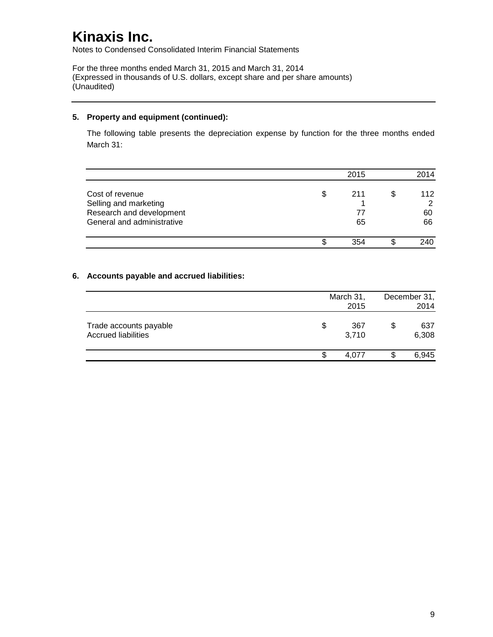Notes to Condensed Consolidated Interim Financial Statements

For the three months ended March 31, 2015 and March 31, 2014 (Expressed in thousands of U.S. dollars, except share and per share amounts) (Unaudited)

### **5. Property and equipment (continued):**

The following table presents the depreciation expense by function for the three months ended March 31:

|                                                                                                    |     | 2015            |   | 2014                 |
|----------------------------------------------------------------------------------------------------|-----|-----------------|---|----------------------|
| Cost of revenue<br>Selling and marketing<br>Research and development<br>General and administrative | \$. | 211<br>77<br>65 | S | 112<br>հ<br>60<br>66 |
|                                                                                                    |     | 354             |   | 240                  |

### **6. Accounts payable and accrued liabilities:**

|                                                      |    | March 31,<br>2015 | December 31,<br>2014 |
|------------------------------------------------------|----|-------------------|----------------------|
| Trade accounts payable<br><b>Accrued liabilities</b> | \$ | 367<br>3,710      | \$<br>637<br>6,308   |
|                                                      | S  | 4.077             | 6,945                |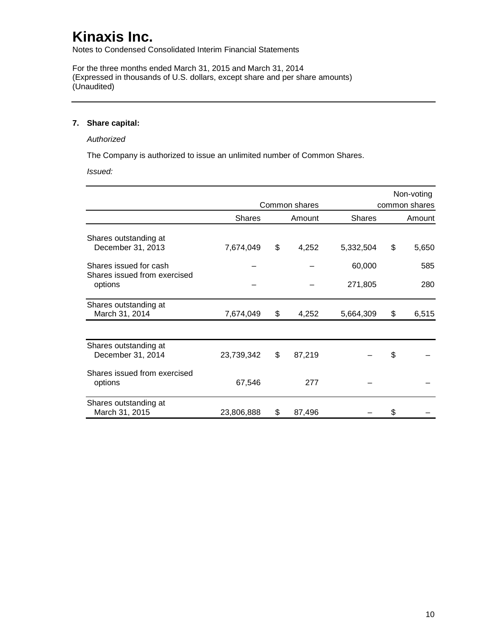Notes to Condensed Consolidated Interim Financial Statements

For the three months ended March 31, 2015 and March 31, 2014 (Expressed in thousands of U.S. dollars, except share and per share amounts) (Unaudited)

#### **7. Share capital:**

#### *Authorized*

The Company is authorized to issue an unlimited number of Common Shares.

*Issued:*

|                                                        |               | Common shares |               |    | Non-voting<br>common shares |
|--------------------------------------------------------|---------------|---------------|---------------|----|-----------------------------|
|                                                        | <b>Shares</b> | Amount        | <b>Shares</b> |    | Amount                      |
| Shares outstanding at<br>December 31, 2013             | 7,674,049     | \$<br>4,252   | 5,332,504     | \$ | 5,650                       |
| Shares issued for cash<br>Shares issued from exercised |               |               | 60,000        |    | 585                         |
| options                                                |               |               | 271,805       |    | 280                         |
| Shares outstanding at<br>March 31, 2014                | 7,674,049     | \$<br>4,252   | 5,664,309     | \$ | 6,515                       |
| Shares outstanding at                                  |               |               |               |    |                             |
| December 31, 2014                                      | 23,739,342    | \$<br>87,219  |               | \$ |                             |
| Shares issued from exercised<br>options                | 67,546        | 277           |               |    |                             |
| Shares outstanding at<br>March 31, 2015                | 23,806,888    | \$<br>87,496  |               | S  |                             |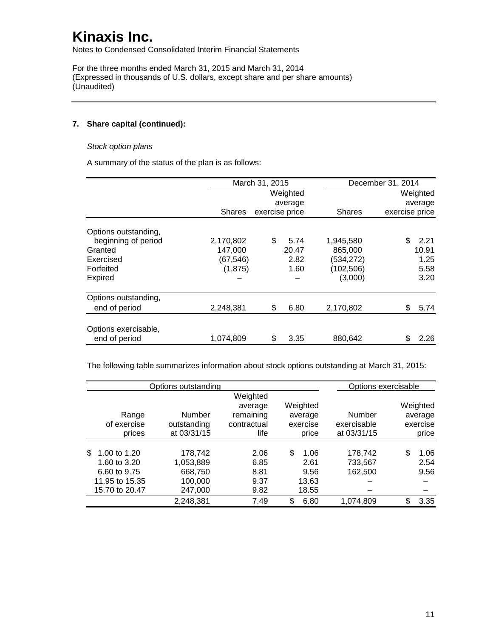Notes to Condensed Consolidated Interim Financial Statements

For the three months ended March 31, 2015 and March 31, 2014 (Expressed in thousands of U.S. dollars, except share and per share amounts) (Unaudited)

### **7. Share capital (continued):**

#### *Stock option plans*

A summary of the status of the plan is as follows:

|                      |               | March 31, 2015 |          |               | December 31, 2014 |          |
|----------------------|---------------|----------------|----------|---------------|-------------------|----------|
|                      |               |                | Weighted |               |                   | Weighted |
|                      |               |                | average  |               |                   | average  |
|                      | <b>Shares</b> | exercise price |          | <b>Shares</b> | exercise price    |          |
| Options outstanding, |               |                |          |               |                   |          |
| beginning of period  | 2,170,802     | \$             | 5.74     | 1,945,580     | \$                | 2.21     |
| Granted              | 147,000       |                | 20.47    | 865,000       |                   | 10.91    |
| Exercised            | (67, 546)     |                | 2.82     | (534,272)     |                   | 1.25     |
| Forfeited            | (1, 875)      |                | 1.60     | (102, 506)    |                   | 5.58     |
| Expired              |               |                |          | (3,000)       |                   | 3.20     |
| Options outstanding, |               |                |          |               |                   |          |
| end of period        | 2,248,381     | \$             | 6.80     | 2,170,802     | \$                | 5.74     |
| Options exercisable, |               |                |          |               |                   |          |
| end of period        | 1,074,809     | \$             | 3.35     | 880,642       | \$                | 2.26     |

The following table summarizes information about stock options outstanding at March 31, 2015:

|     |                | Options outstanding |                      |                     |             | Options exercisable |                     |
|-----|----------------|---------------------|----------------------|---------------------|-------------|---------------------|---------------------|
|     |                |                     | Weighted             |                     |             |                     |                     |
|     | Range          | Number              | average<br>remaining | Weighted<br>average | Number      |                     | Weighted<br>average |
|     | of exercise    | outstanding         | contractual          | exercise            | exercisable |                     | exercise            |
|     | prices         | at 03/31/15         | life                 | price               | at 03/31/15 |                     | price               |
|     |                |                     |                      |                     |             |                     |                     |
| \$. | 1.00 to 1.20   | 178,742             | 2.06                 | \$<br>1.06          | 178,742     | \$                  | 1.06                |
|     | 1.60 to 3.20   | 1,053,889           | 6.85                 | 2.61                | 733,567     |                     | 2.54                |
|     | 6.60 to 9.75   | 668,750             | 8.81                 | 9.56                | 162,500     |                     | 9.56                |
|     | 11.95 to 15.35 | 100,000             | 9.37                 | 13.63               |             |                     |                     |
|     | 15.70 to 20.47 | 247,000             | 9.82                 | 18.55               |             |                     |                     |
|     |                | 2,248,381           | 7.49                 | \$<br>6.80          | 1,074,809   | \$                  | 3.35                |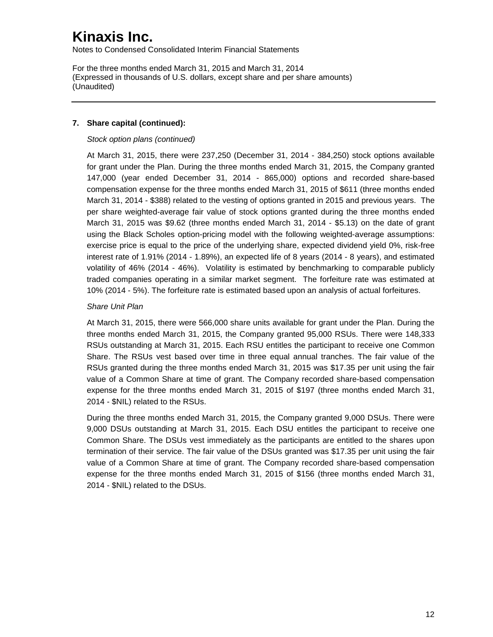Notes to Condensed Consolidated Interim Financial Statements

For the three months ended March 31, 2015 and March 31, 2014 (Expressed in thousands of U.S. dollars, except share and per share amounts) (Unaudited)

### **7. Share capital (continued):**

### *Stock option plans (continued)*

At March 31, 2015, there were 237,250 (December 31, 2014 - 384,250) stock options available for grant under the Plan. During the three months ended March 31, 2015, the Company granted 147,000 (year ended December 31, 2014 - 865,000) options and recorded share-based compensation expense for the three months ended March 31, 2015 of \$611 (three months ended March 31, 2014 - \$388) related to the vesting of options granted in 2015 and previous years. The per share weighted-average fair value of stock options granted during the three months ended March 31, 2015 was \$9.62 (three months ended March 31, 2014 - \$5.13) on the date of grant using the Black Scholes option-pricing model with the following weighted-average assumptions: exercise price is equal to the price of the underlying share, expected dividend yield 0%, risk-free interest rate of 1.91% (2014 - 1.89%), an expected life of 8 years (2014 - 8 years), and estimated volatility of 46% (2014 - 46%). Volatility is estimated by benchmarking to comparable publicly traded companies operating in a similar market segment. The forfeiture rate was estimated at 10% (2014 - 5%). The forfeiture rate is estimated based upon an analysis of actual forfeitures.

### *Share Unit Plan*

At March 31, 2015, there were 566,000 share units available for grant under the Plan. During the three months ended March 31, 2015, the Company granted 95,000 RSUs. There were 148,333 RSUs outstanding at March 31, 2015. Each RSU entitles the participant to receive one Common Share. The RSUs vest based over time in three equal annual tranches. The fair value of the RSUs granted during the three months ended March 31, 2015 was \$17.35 per unit using the fair value of a Common Share at time of grant. The Company recorded share-based compensation expense for the three months ended March 31, 2015 of \$197 (three months ended March 31, 2014 - \$NIL) related to the RSUs.

During the three months ended March 31, 2015, the Company granted 9,000 DSUs. There were 9,000 DSUs outstanding at March 31, 2015. Each DSU entitles the participant to receive one Common Share. The DSUs vest immediately as the participants are entitled to the shares upon termination of their service. The fair value of the DSUs granted was \$17.35 per unit using the fair value of a Common Share at time of grant. The Company recorded share-based compensation expense for the three months ended March 31, 2015 of \$156 (three months ended March 31, 2014 - \$NIL) related to the DSUs.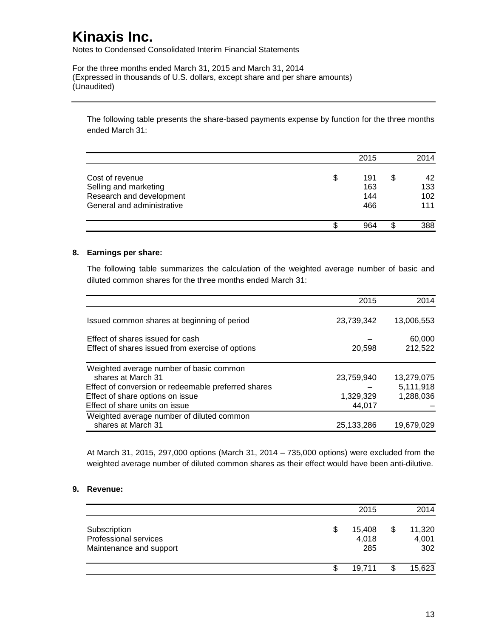Notes to Condensed Consolidated Interim Financial Statements

For the three months ended March 31, 2015 and March 31, 2014 (Expressed in thousands of U.S. dollars, except share and per share amounts) (Unaudited)

The following table presents the share-based payments expense by function for the three months ended March 31:

|                                                                                                    | 2015                           |   | 2014                    |
|----------------------------------------------------------------------------------------------------|--------------------------------|---|-------------------------|
| Cost of revenue<br>Selling and marketing<br>Research and development<br>General and administrative | \$<br>191<br>163<br>144<br>466 | S | 42<br>133<br>102<br>111 |
|                                                                                                    | 964                            | S | 388                     |

#### **8. Earnings per share:**

The following table summarizes the calculation of the weighted average number of basic and diluted common shares for the three months ended March 31:

|                                                     | 2015       | 2014       |
|-----------------------------------------------------|------------|------------|
| Issued common shares at beginning of period         | 23,739,342 | 13,006,553 |
| Effect of shares issued for cash                    |            | 60,000     |
| Effect of shares issued from exercise of options    | 20,598     | 212,522    |
| Weighted average number of basic common             |            |            |
| shares at March 31                                  | 23,759,940 | 13,279,075 |
| Effect of conversion or redeemable preferred shares |            | 5,111,918  |
| Effect of share options on issue                    | 1,329,329  | 1,288,036  |
| Effect of share units on issue                      | 44,017     |            |
| Weighted average number of diluted common           |            |            |
| shares at March 31                                  | 25,133,286 | 19.679.029 |

At March 31, 2015, 297,000 options (March 31, 2014 – 735,000 options) were excluded from the weighted average number of diluted common shares as their effect would have been anti-dilutive.

### **9. Revenue:**

|                                                                  |   | 2015                   | 2014                         |
|------------------------------------------------------------------|---|------------------------|------------------------------|
| Subscription<br>Professional services<br>Maintenance and support | S | 15,408<br>4,018<br>285 | \$<br>11,320<br>4,001<br>302 |
|                                                                  |   | 19.711                 | 15,623                       |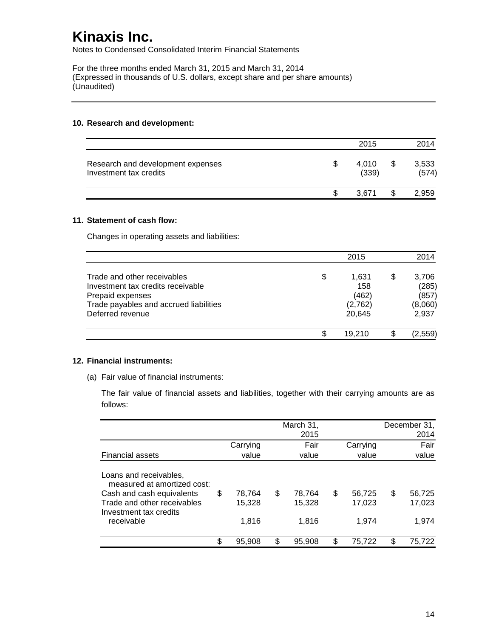Notes to Condensed Consolidated Interim Financial Statements

For the three months ended March 31, 2015 and March 31, 2014 (Expressed in thousands of U.S. dollars, except share and per share amounts) (Unaudited)

#### **10. Research and development:**

|                                                             | 2015           | 2014                 |
|-------------------------------------------------------------|----------------|----------------------|
| Research and development expenses<br>Investment tax credits | 4.010<br>(339) | \$<br>3,533<br>(574) |
|                                                             | 3.671          | 2,959                |

#### **11. Statement of cash flow:**

Changes in operating assets and liabilities:

|                                                                                                                                                    |    | 2015                                       |   | 2014                                        |
|----------------------------------------------------------------------------------------------------------------------------------------------------|----|--------------------------------------------|---|---------------------------------------------|
| Trade and other receivables<br>Investment tax credits receivable<br>Prepaid expenses<br>Trade payables and accrued liabilities<br>Deferred revenue | \$ | 1.631<br>158<br>(462)<br>(2,762)<br>20,645 | S | 3,706<br>(285)<br>(857)<br>(8,060)<br>2,937 |
|                                                                                                                                                    | ß. | 19.210                                     |   | (2.559)                                     |

#### **12. Financial instruments:**

(a) Fair value of financial instruments:

The fair value of financial assets and liabilities, together with their carrying amounts are as follows:

|                                                                                                                                                           |                                 |     | March 31,<br>2015         |                                 |     | December 31,<br>2014      |
|-----------------------------------------------------------------------------------------------------------------------------------------------------------|---------------------------------|-----|---------------------------|---------------------------------|-----|---------------------------|
|                                                                                                                                                           | Carrying                        |     | Fair                      | Carrying                        |     | Fair                      |
| <b>Financial assets</b>                                                                                                                                   | value                           |     | value                     | value                           |     | value                     |
| Loans and receivables,<br>measured at amortized cost:<br>Cash and cash equivalents<br>Trade and other receivables<br>Investment tax credits<br>receivable | \$<br>78,764<br>15.328<br>1.816 | \$  | 78,764<br>15,328<br>1,816 | \$<br>56,725<br>17,023<br>1.974 | \$  | 56,725<br>17,023<br>1,974 |
|                                                                                                                                                           | \$<br>95,908                    | \$. | 95,908                    | \$<br>75,722                    | \$. | 75,722                    |
|                                                                                                                                                           |                                 |     |                           |                                 |     |                           |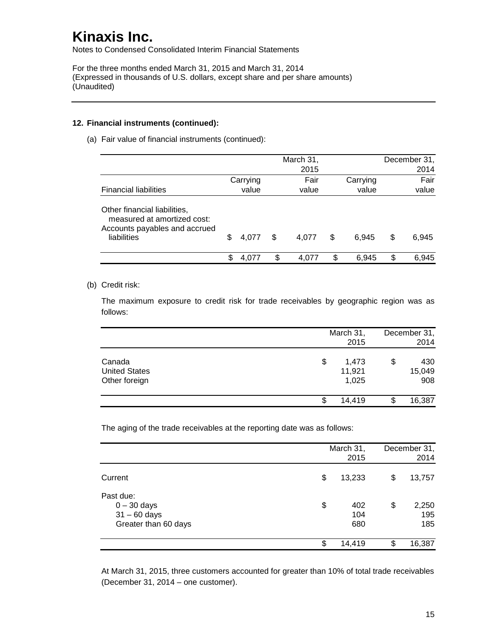Notes to Condensed Consolidated Interim Financial Statements

For the three months ended March 31, 2015 and March 31, 2014 (Expressed in thousands of U.S. dollars, except share and per share amounts) (Unaudited)

#### **12. Financial instruments (continued):**

(a) Fair value of financial instruments (continued):

|                                                                                                             |    |          | March 31,<br>2015 |             | December 31,<br>2014 |
|-------------------------------------------------------------------------------------------------------------|----|----------|-------------------|-------------|----------------------|
|                                                                                                             |    | Carrying | Fair              | Carrying    | Fair                 |
| <b>Financial liabilities</b>                                                                                |    | value    | value             | value       | value                |
| Other financial liabilities,<br>measured at amortized cost:<br>Accounts payables and accrued<br>liabilities | \$ | 4.077    | \$<br>4,077       | \$<br>6.945 | \$<br>6,945          |
|                                                                                                             | S  | 4.077    | 4.077             | \$<br>6.945 | \$<br>6.945          |

### (b) Credit risk:

The maximum exposure to credit risk for trade receivables by geographic region was as follows:

|                                                 |    | March 31,<br>2015        | December 31,<br>2014 |                      |  |
|-------------------------------------------------|----|--------------------------|----------------------|----------------------|--|
| Canada<br><b>United States</b><br>Other foreign | \$ | 1,473<br>11,921<br>1,025 | \$                   | 430<br>15,049<br>908 |  |
|                                                 | S  | 14,419                   |                      | 16,387               |  |

The aging of the trade receivables at the reporting date was as follows:

|                                                                      |    | March 31,<br>2015 | December 31,<br>2014 |                     |  |
|----------------------------------------------------------------------|----|-------------------|----------------------|---------------------|--|
| Current                                                              | \$ | 13,233            | \$                   | 13,757              |  |
| Past due:<br>$0 - 30$ days<br>$31 - 60$ days<br>Greater than 60 days | \$ | 402<br>104<br>680 | \$                   | 2,250<br>195<br>185 |  |
|                                                                      | \$ | 14,419            | œ                    | 16,387              |  |

At March 31, 2015, three customers accounted for greater than 10% of total trade receivables (December 31, 2014 – one customer).